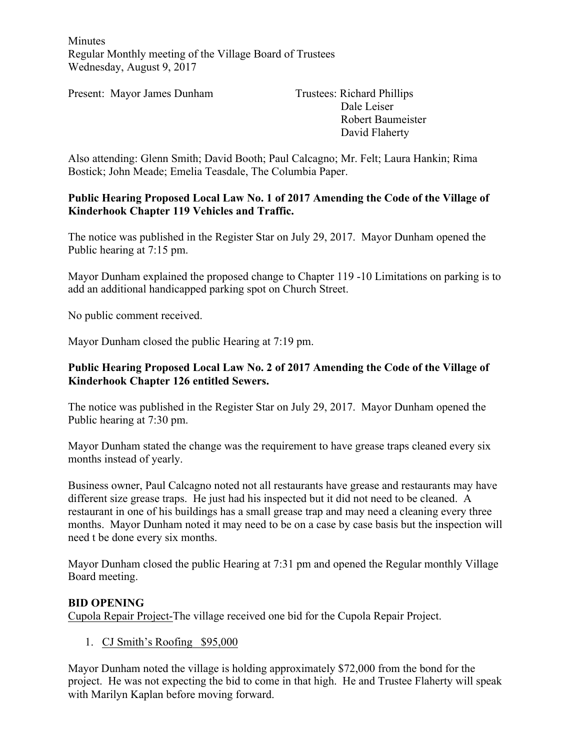Minutes Regular Monthly meeting of the Village Board of Trustees Wednesday, August 9, 2017

Present: Mayor James Dunham Trustees: Richard Phillips

Dale Leiser Robert Baumeister David Flaherty

Also attending: Glenn Smith; David Booth; Paul Calcagno; Mr. Felt; Laura Hankin; Rima Bostick; John Meade; Emelia Teasdale, The Columbia Paper.

#### **Public Hearing Proposed Local Law No. 1 of 2017 Amending the Code of the Village of Kinderhook Chapter 119 Vehicles and Traffic.**

The notice was published in the Register Star on July 29, 2017. Mayor Dunham opened the Public hearing at 7:15 pm.

Mayor Dunham explained the proposed change to Chapter 119 -10 Limitations on parking is to add an additional handicapped parking spot on Church Street.

No public comment received.

Mayor Dunham closed the public Hearing at 7:19 pm.

#### **Public Hearing Proposed Local Law No. 2 of 2017 Amending the Code of the Village of Kinderhook Chapter 126 entitled Sewers.**

The notice was published in the Register Star on July 29, 2017. Mayor Dunham opened the Public hearing at 7:30 pm.

Mayor Dunham stated the change was the requirement to have grease traps cleaned every six months instead of yearly.

Business owner, Paul Calcagno noted not all restaurants have grease and restaurants may have different size grease traps. He just had his inspected but it did not need to be cleaned. A restaurant in one of his buildings has a small grease trap and may need a cleaning every three months. Mayor Dunham noted it may need to be on a case by case basis but the inspection will need t be done every six months.

Mayor Dunham closed the public Hearing at 7:31 pm and opened the Regular monthly Village Board meeting.

## **BID OPENING**

Cupola Repair Project-The village received one bid for the Cupola Repair Project.

1. CJ Smith's Roofing \$95,000

Mayor Dunham noted the village is holding approximately \$72,000 from the bond for the project. He was not expecting the bid to come in that high. He and Trustee Flaherty will speak with Marilyn Kaplan before moving forward.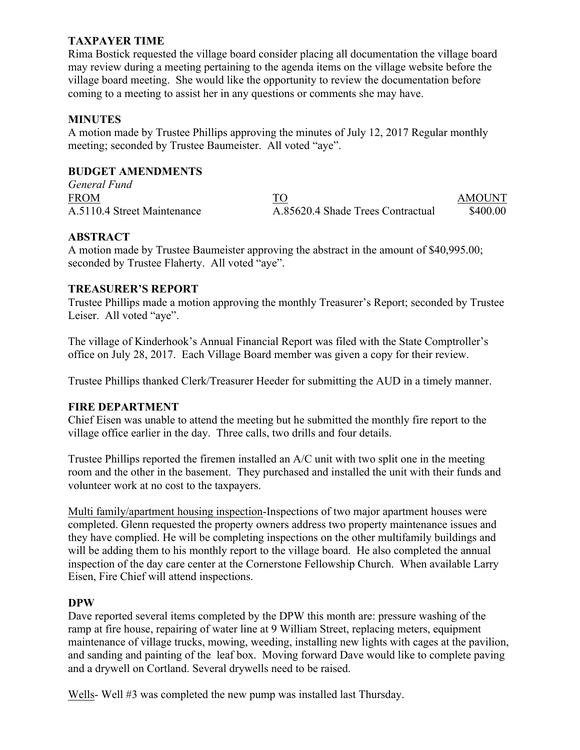# **TAXPAYER TIME**

Rima Bostick requested the village board consider placing all documentation the village board may review during a meeting pertaining to the agenda items on the village website before the village board meeting. She would like the opportunity to review the documentation before coming to a meeting to assist her in any questions or comments she may have.

## **MINUTES**

A motion made by Trustee Phillips approving the minutes of July 12, 2017 Regular monthly meeting; seconded by Trustee Baumeister. All voted "aye".

## **BUDGET AMENDMENTS**

*General Fund* FROM TO AMOUNT A.5110.4 Street Maintenance A.85620.4 Shade Trees Contractual \$400.00

# **ABSTRACT**

A motion made by Trustee Baumeister approving the abstract in the amount of \$40,995.00; seconded by Trustee Flaherty. All voted "aye".

# **TREASURER'S REPORT**

Trustee Phillips made a motion approving the monthly Treasurer's Report; seconded by Trustee Leiser. All voted "aye".

The village of Kinderhook's Annual Financial Report was filed with the State Comptroller's office on July 28, 2017. Each Village Board member was given a copy for their review.

Trustee Phillips thanked Clerk/Treasurer Heeder for submitting the AUD in a timely manner.

## **FIRE DEPARTMENT**

Chief Eisen was unable to attend the meeting but he submitted the monthly fire report to the village office earlier in the day. Three calls, two drills and four details.

Trustee Phillips reported the firemen installed an A/C unit with two split one in the meeting room and the other in the basement. They purchased and installed the unit with their funds and volunteer work at no cost to the taxpayers.

Multi family/apartment housing inspection-Inspections of two major apartment houses were completed. Glenn requested the property owners address two property maintenance issues and they have complied. He will be completing inspections on the other multifamily buildings and will be adding them to his monthly report to the village board. He also completed the annual inspection of the day care center at the Cornerstone Fellowship Church. When available Larry Eisen, Fire Chief will attend inspections.

#### **DPW**

Dave reported several items completed by the DPW this month are: pressure washing of the ramp at fire house, repairing of water line at 9 William Street, replacing meters, equipment maintenance of village trucks, mowing, weeding, installing new lights with cages at the pavilion, and sanding and painting of the leaf box. Moving forward Dave would like to complete paving and a drywell on Cortland. Several drywells need to be raised.

Wells- Well #3 was completed the new pump was installed last Thursday.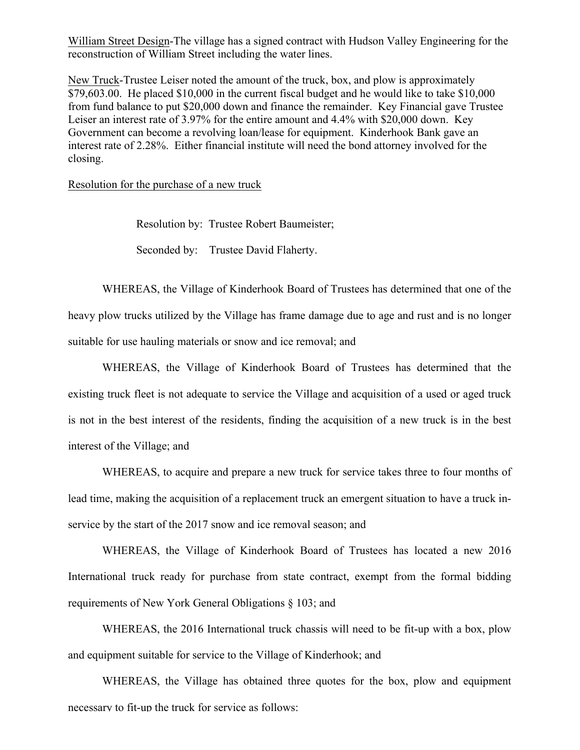William Street Design-The village has a signed contract with Hudson Valley Engineering for the reconstruction of William Street including the water lines.

New Truck-Trustee Leiser noted the amount of the truck, box, and plow is approximately \$79,603.00. He placed \$10,000 in the current fiscal budget and he would like to take \$10,000 from fund balance to put \$20,000 down and finance the remainder. Key Financial gave Trustee Leiser an interest rate of 3.97% for the entire amount and 4.4% with \$20,000 down. Key Government can become a revolving loan/lease for equipment. Kinderhook Bank gave an interest rate of 2.28%. Either financial institute will need the bond attorney involved for the closing.

Resolution for the purchase of a new truck

Resolution by: Trustee Robert Baumeister;

Seconded by: Trustee David Flaherty.

WHEREAS, the Village of Kinderhook Board of Trustees has determined that one of the heavy plow trucks utilized by the Village has frame damage due to age and rust and is no longer suitable for use hauling materials or snow and ice removal; and

WHEREAS, the Village of Kinderhook Board of Trustees has determined that the existing truck fleet is not adequate to service the Village and acquisition of a used or aged truck is not in the best interest of the residents, finding the acquisition of a new truck is in the best interest of the Village; and

WHEREAS, to acquire and prepare a new truck for service takes three to four months of lead time, making the acquisition of a replacement truck an emergent situation to have a truck inservice by the start of the 2017 snow and ice removal season; and

WHEREAS, the Village of Kinderhook Board of Trustees has located a new 2016 International truck ready for purchase from state contract, exempt from the formal bidding requirements of New York General Obligations § 103; and

WHEREAS, the 2016 International truck chassis will need to be fit-up with a box, plow and equipment suitable for service to the Village of Kinderhook; and

WHEREAS, the Village has obtained three quotes for the box, plow and equipment necessary to fit-up the truck for service as follows: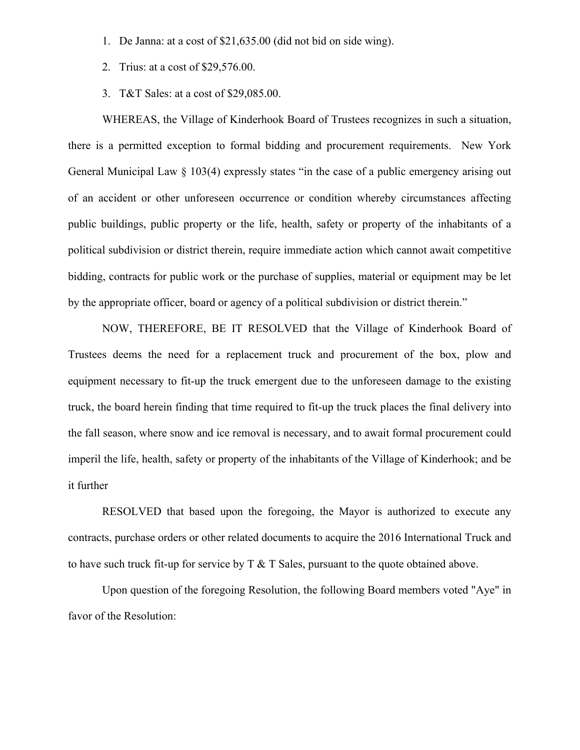- 1. De Janna: at a cost of \$21,635.00 (did not bid on side wing).
- 2. Trius: at a cost of \$29,576.00.
- 3. T&T Sales: at a cost of \$29,085.00.

WHEREAS, the Village of Kinderhook Board of Trustees recognizes in such a situation, there is a permitted exception to formal bidding and procurement requirements. New York General Municipal Law § 103(4) expressly states "in the case of a public emergency arising out of an accident or other unforeseen occurrence or condition whereby circumstances affecting public buildings, public property or the life, health, safety or property of the inhabitants of a political subdivision or district therein, require immediate action which cannot await competitive bidding, contracts for public work or the purchase of supplies, material or equipment may be let by the appropriate officer, board or agency of a political subdivision or district therein."

NOW, THEREFORE, BE IT RESOLVED that the Village of Kinderhook Board of Trustees deems the need for a replacement truck and procurement of the box, plow and equipment necessary to fit-up the truck emergent due to the unforeseen damage to the existing truck, the board herein finding that time required to fit-up the truck places the final delivery into the fall season, where snow and ice removal is necessary, and to await formal procurement could imperil the life, health, safety or property of the inhabitants of the Village of Kinderhook; and be it further

RESOLVED that based upon the foregoing, the Mayor is authorized to execute any contracts, purchase orders or other related documents to acquire the 2016 International Truck and to have such truck fit-up for service by  $T \& T$  Sales, pursuant to the quote obtained above.

Upon question of the foregoing Resolution, the following Board members voted "Aye" in favor of the Resolution: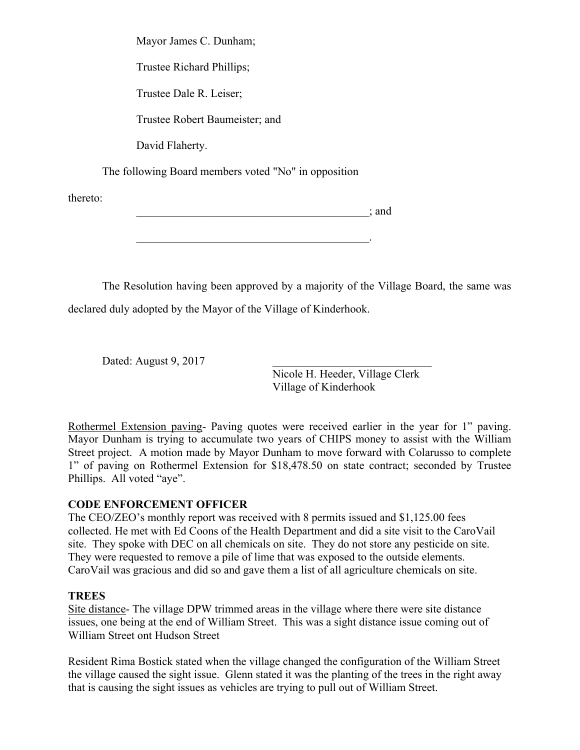Mayor James C. Dunham; Trustee Richard Phillips; Trustee Dale R. Leiser; Trustee Robert Baumeister; and David Flaherty. The following Board members voted "No" in opposition

\_\_\_\_\_\_\_\_\_\_\_\_\_\_\_\_\_\_\_\_\_\_\_\_\_\_\_\_\_\_\_\_\_\_\_\_\_\_\_\_\_; and

 $\mathcal{L}_\mathcal{L} = \mathcal{L}_\mathcal{L} = \mathcal{L}_\mathcal{L} = \mathcal{L}_\mathcal{L} = \mathcal{L}_\mathcal{L} = \mathcal{L}_\mathcal{L} = \mathcal{L}_\mathcal{L} = \mathcal{L}_\mathcal{L} = \mathcal{L}_\mathcal{L} = \mathcal{L}_\mathcal{L} = \mathcal{L}_\mathcal{L} = \mathcal{L}_\mathcal{L} = \mathcal{L}_\mathcal{L} = \mathcal{L}_\mathcal{L} = \mathcal{L}_\mathcal{L} = \mathcal{L}_\mathcal{L} = \mathcal{L}_\mathcal{L}$ 

The Resolution having been approved by a majority of the Village Board, the same was declared duly adopted by the Mayor of the Village of Kinderhook.

Dated: August  $9, 2017$ 

Nicole H. Heeder, Village Clerk Village of Kinderhook

Rothermel Extension paving- Paving quotes were received earlier in the year for 1" paving. Mayor Dunham is trying to accumulate two years of CHIPS money to assist with the William Street project. A motion made by Mayor Dunham to move forward with Colarusso to complete 1" of paving on Rothermel Extension for \$18,478.50 on state contract; seconded by Trustee Phillips. All voted "aye".

## **CODE ENFORCEMENT OFFICER**

The CEO/ZEO's monthly report was received with 8 permits issued and \$1,125.00 fees collected. He met with Ed Coons of the Health Department and did a site visit to the CaroVail site. They spoke with DEC on all chemicals on site. They do not store any pesticide on site. They were requested to remove a pile of lime that was exposed to the outside elements. CaroVail was gracious and did so and gave them a list of all agriculture chemicals on site.

## **TREES**

thereto:

Site distance- The village DPW trimmed areas in the village where there were site distance issues, one being at the end of William Street. This was a sight distance issue coming out of William Street ont Hudson Street

Resident Rima Bostick stated when the village changed the configuration of the William Street the village caused the sight issue. Glenn stated it was the planting of the trees in the right away that is causing the sight issues as vehicles are trying to pull out of William Street.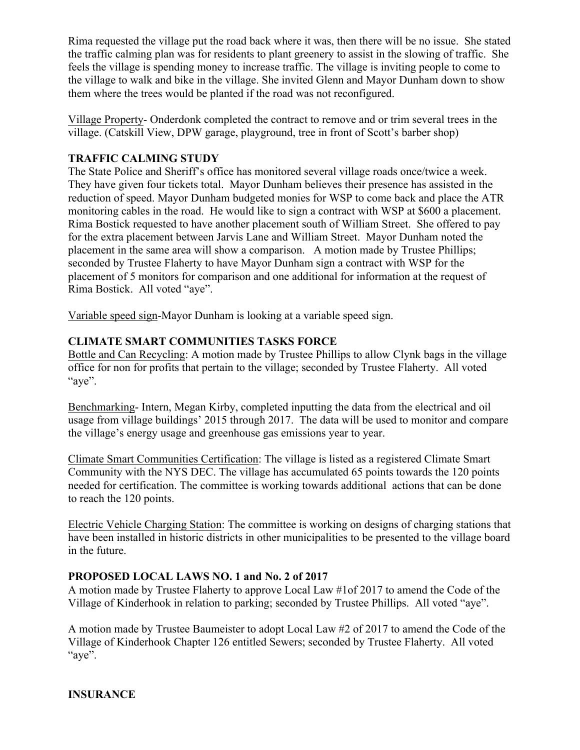Rima requested the village put the road back where it was, then there will be no issue. She stated the traffic calming plan was for residents to plant greenery to assist in the slowing of traffic. She feels the village is spending money to increase traffic. The village is inviting people to come to the village to walk and bike in the village. She invited Glenn and Mayor Dunham down to show them where the trees would be planted if the road was not reconfigured.

Village Property- Onderdonk completed the contract to remove and or trim several trees in the village. (Catskill View, DPW garage, playground, tree in front of Scott's barber shop)

# **TRAFFIC CALMING STUDY**

The State Police and Sheriff's office has monitored several village roads once/twice a week. They have given four tickets total. Mayor Dunham believes their presence has assisted in the reduction of speed. Mayor Dunham budgeted monies for WSP to come back and place the ATR monitoring cables in the road. He would like to sign a contract with WSP at \$600 a placement. Rima Bostick requested to have another placement south of William Street. She offered to pay for the extra placement between Jarvis Lane and William Street. Mayor Dunham noted the placement in the same area will show a comparison. A motion made by Trustee Phillips; seconded by Trustee Flaherty to have Mayor Dunham sign a contract with WSP for the placement of 5 monitors for comparison and one additional for information at the request of Rima Bostick. All voted "aye".

Variable speed sign-Mayor Dunham is looking at a variable speed sign.

# **CLIMATE SMART COMMUNITIES TASKS FORCE**

Bottle and Can Recycling: A motion made by Trustee Phillips to allow Clynk bags in the village office for non for profits that pertain to the village; seconded by Trustee Flaherty. All voted "aye".

Benchmarking- Intern, Megan Kirby, completed inputting the data from the electrical and oil usage from village buildings' 2015 through 2017. The data will be used to monitor and compare the village's energy usage and greenhouse gas emissions year to year.

Climate Smart Communities Certification: The village is listed as a registered Climate Smart Community with the NYS DEC. The village has accumulated 65 points towards the 120 points needed for certification. The committee is working towards additional actions that can be done to reach the 120 points.

Electric Vehicle Charging Station: The committee is working on designs of charging stations that have been installed in historic districts in other municipalities to be presented to the village board in the future.

## **PROPOSED LOCAL LAWS NO. 1 and No. 2 of 2017**

A motion made by Trustee Flaherty to approve Local Law #1of 2017 to amend the Code of the Village of Kinderhook in relation to parking; seconded by Trustee Phillips. All voted "aye".

A motion made by Trustee Baumeister to adopt Local Law #2 of 2017 to amend the Code of the Village of Kinderhook Chapter 126 entitled Sewers; seconded by Trustee Flaherty. All voted "aye".

**INSURANCE**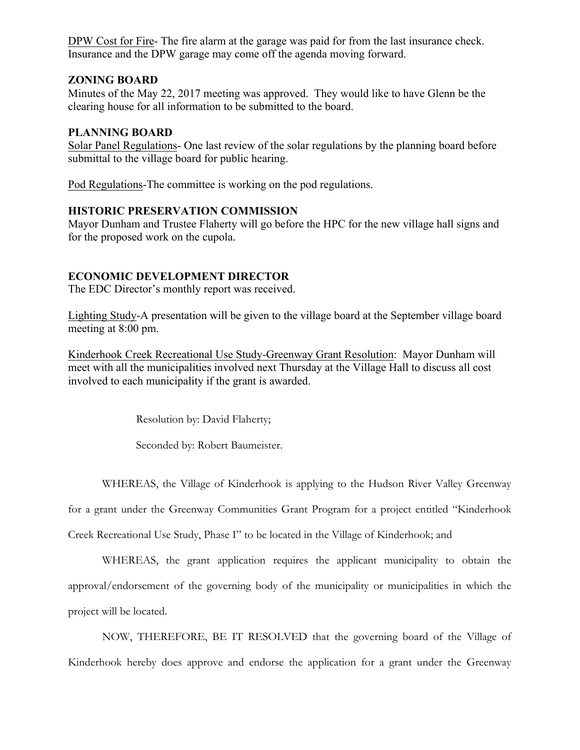DPW Cost for Fire- The fire alarm at the garage was paid for from the last insurance check. Insurance and the DPW garage may come off the agenda moving forward.

## **ZONING BOARD**

Minutes of the May 22, 2017 meeting was approved. They would like to have Glenn be the clearing house for all information to be submitted to the board.

#### **PLANNING BOARD**

Solar Panel Regulations- One last review of the solar regulations by the planning board before submittal to the village board for public hearing.

Pod Regulations-The committee is working on the pod regulations.

## **HISTORIC PRESERVATION COMMISSION**

Mayor Dunham and Trustee Flaherty will go before the HPC for the new village hall signs and for the proposed work on the cupola.

## **ECONOMIC DEVELOPMENT DIRECTOR**

The EDC Director's monthly report was received.

Lighting Study-A presentation will be given to the village board at the September village board meeting at 8:00 pm.

Kinderhook Creek Recreational Use Study-Greenway Grant Resolution: Mayor Dunham will meet with all the municipalities involved next Thursday at the Village Hall to discuss all cost involved to each municipality if the grant is awarded.

Resolution by: David Flaherty;

Seconded by: Robert Baumeister.

WHEREAS, the Village of Kinderhook is applying to the Hudson River Valley Greenway

for a grant under the Greenway Communities Grant Program for a project entitled "Kinderhook

Creek Recreational Use Study, Phase I" to be located in the Village of Kinderhook; and

WHEREAS, the grant application requires the applicant municipality to obtain the approval/endorsement of the governing body of the municipality or municipalities in which the project will be located.

NOW, THEREFORE, BE IT RESOLVED that the governing board of the Village of Kinderhook hereby does approve and endorse the application for a grant under the Greenway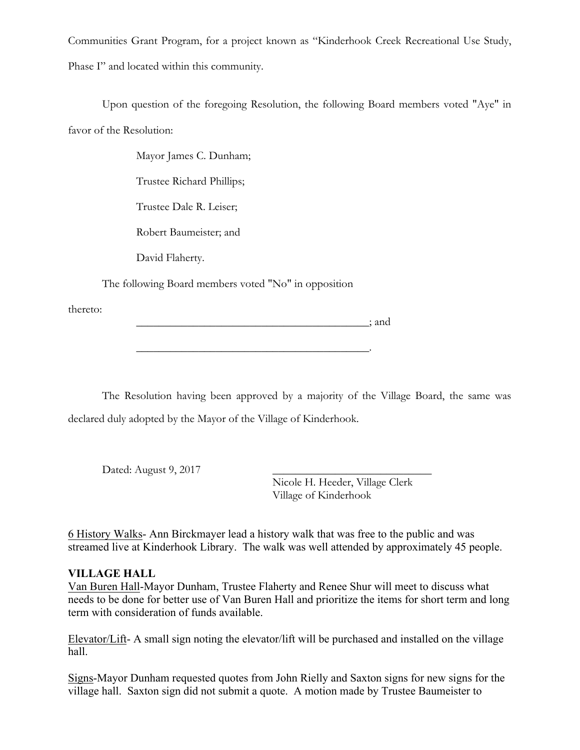Communities Grant Program, for a project known as "Kinderhook Creek Recreational Use Study, Phase I" and located within this community.

Upon question of the foregoing Resolution, the following Board members voted "Aye" in favor of the Resolution:

Mayor James C. Dunham;

Trustee Richard Phillips;

Trustee Dale R. Leiser;

Robert Baumeister; and

David Flaherty.

The following Board members voted "No" in opposition

\_\_\_\_\_\_\_\_\_\_\_\_\_\_\_\_\_\_\_\_\_\_\_\_\_\_\_\_\_\_\_\_\_\_\_\_\_\_\_\_\_.

thereto:

 $\Box$  and

The Resolution having been approved by a majority of the Village Board, the same was declared duly adopted by the Mayor of the Village of Kinderhook.

Dated: August 9, 2017

Nicole H. Heeder, Village Clerk Village of Kinderhook

6 History Walks- Ann Birckmayer lead a history walk that was free to the public and was streamed live at Kinderhook Library. The walk was well attended by approximately 45 people.

# **VILLAGE HALL**

Van Buren Hall-Mayor Dunham, Trustee Flaherty and Renee Shur will meet to discuss what needs to be done for better use of Van Buren Hall and prioritize the items for short term and long term with consideration of funds available.

Elevator/Lift- A small sign noting the elevator/lift will be purchased and installed on the village hall.

Signs-Mayor Dunham requested quotes from John Rielly and Saxton signs for new signs for the village hall. Saxton sign did not submit a quote. A motion made by Trustee Baumeister to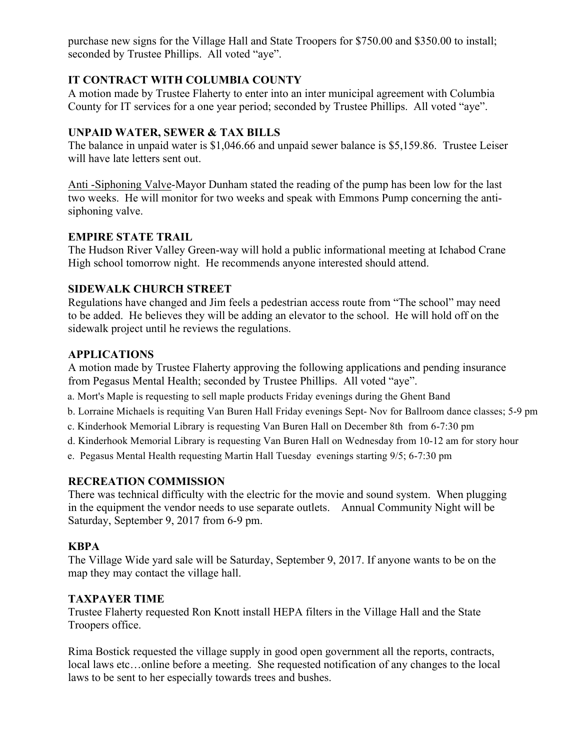purchase new signs for the Village Hall and State Troopers for \$750.00 and \$350.00 to install; seconded by Trustee Phillips. All voted "aye".

# **IT CONTRACT WITH COLUMBIA COUNTY**

A motion made by Trustee Flaherty to enter into an inter municipal agreement with Columbia County for IT services for a one year period; seconded by Trustee Phillips. All voted "aye".

## **UNPAID WATER, SEWER & TAX BILLS**

The balance in unpaid water is \$1,046.66 and unpaid sewer balance is \$5,159.86. Trustee Leiser will have late letters sent out.

Anti -Siphoning Valve-Mayor Dunham stated the reading of the pump has been low for the last two weeks. He will monitor for two weeks and speak with Emmons Pump concerning the antisiphoning valve.

#### **EMPIRE STATE TRAIL**

The Hudson River Valley Green-way will hold a public informational meeting at Ichabod Crane High school tomorrow night. He recommends anyone interested should attend.

## **SIDEWALK CHURCH STREET**

Regulations have changed and Jim feels a pedestrian access route from "The school" may need to be added. He believes they will be adding an elevator to the school. He will hold off on the sidewalk project until he reviews the regulations.

# **APPLICATIONS**

A motion made by Trustee Flaherty approving the following applications and pending insurance from Pegasus Mental Health; seconded by Trustee Phillips. All voted "aye".

- a. Mort's Maple is requesting to sell maple products Friday evenings during the Ghent Band
- b. Lorraine Michaels is requiting Van Buren Hall Friday evenings Sept- Nov for Ballroom dance classes; 5-9 pm
- c. Kinderhook Memorial Library is requesting Van Buren Hall on December 8th from 6-7:30 pm
- d. Kinderhook Memorial Library is requesting Van Buren Hall on Wednesday from 10-12 am for story hour
- e. Pegasus Mental Health requesting Martin Hall Tuesday evenings starting 9/5; 6-7:30 pm

## **RECREATION COMMISSION**

There was technical difficulty with the electric for the movie and sound system. When plugging in the equipment the vendor needs to use separate outlets. Annual Community Night will be Saturday, September 9, 2017 from 6-9 pm.

## **KBPA**

The Village Wide yard sale will be Saturday, September 9, 2017. If anyone wants to be on the map they may contact the village hall.

## **TAXPAYER TIME**

Trustee Flaherty requested Ron Knott install HEPA filters in the Village Hall and the State Troopers office.

Rima Bostick requested the village supply in good open government all the reports, contracts, local laws etc…online before a meeting. She requested notification of any changes to the local laws to be sent to her especially towards trees and bushes.